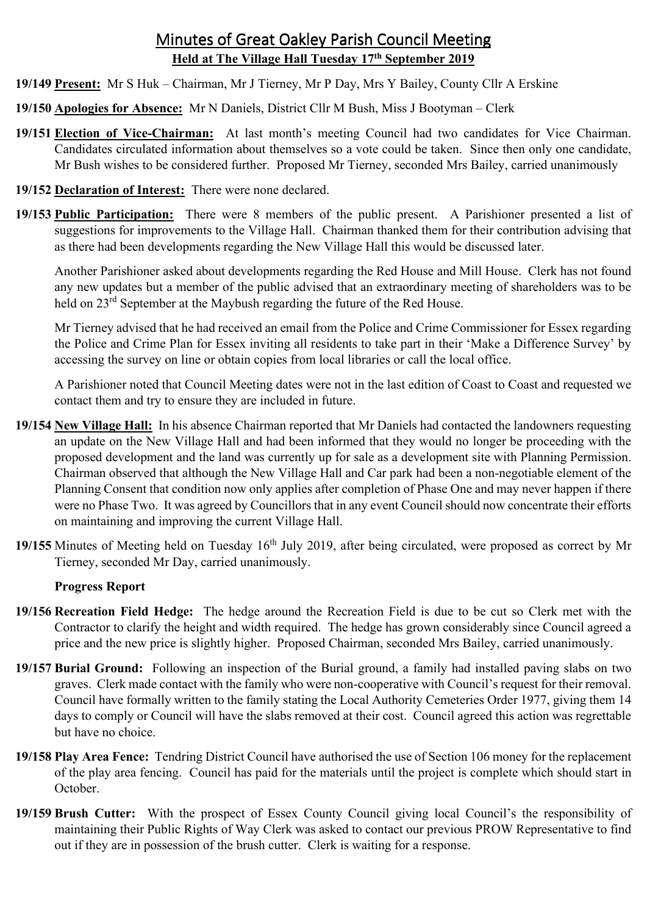# Minutes of Great Oakley Parish Council Meeting **Held at The Village Hall Tuesday 17th September 2019**

- **19/149 Present:** Mr S Huk Chairman, Mr J Tierney, Mr P Day, Mrs Y Bailey, County Cllr A Erskine
- **19/150 Apologies for Absence:** Mr N Daniels, District Cllr M Bush, Miss J Bootyman Clerk
- **19/151 Election of Vice-Chairman:** At last month's meeting Council had two candidates for Vice Chairman. Candidates circulated information about themselves so a vote could be taken. Since then only one candidate, Mr Bush wishes to be considered further. Proposed Mr Tierney, seconded Mrs Bailey, carried unanimously
- **19/152 Declaration of Interest:** There were none declared.
- **19/153 Public Participation:** There were 8 members of the public present. A Parishioner presented a list of suggestions for improvements to the Village Hall. Chairman thanked them for their contribution advising that as there had been developments regarding the New Village Hall this would be discussed later.

 Another Parishioner asked about developments regarding the Red House and Mill House. Clerk has not found any new updates but a member of the public advised that an extraordinary meeting of shareholders was to be held on 23<sup>rd</sup> September at the Maybush regarding the future of the Red House.

 Mr Tierney advised that he had received an email from the Police and Crime Commissioner for Essex regarding the Police and Crime Plan for Essex inviting all residents to take part in their 'Make a Difference Survey' by accessing the survey on line or obtain copies from local libraries or call the local office.

 A Parishioner noted that Council Meeting dates were not in the last edition of Coast to Coast and requested we contact them and try to ensure they are included in future.

- **19/154 New Village Hall:** In his absence Chairman reported that Mr Daniels had contacted the landowners requesting an update on the New Village Hall and had been informed that they would no longer be proceeding with the proposed development and the land was currently up for sale as a development site with Planning Permission. Chairman observed that although the New Village Hall and Car park had been a non-negotiable element of the Planning Consent that condition now only applies after completion of Phase One and may never happen if there were no Phase Two. It was agreed by Councillors that in any event Council should now concentrate their efforts on maintaining and improving the current Village Hall.
- **19/155** Minutes of Meeting held on Tuesday 16<sup>th</sup> July 2019, after being circulated, were proposed as correct by Mr Tierney, seconded Mr Day, carried unanimously.

# **Progress Report**

- **19/156 Recreation Field Hedge:** The hedge around the Recreation Field is due to be cut so Clerk met with the Contractor to clarify the height and width required. The hedge has grown considerably since Council agreed a price and the new price is slightly higher. Proposed Chairman, seconded Mrs Bailey, carried unanimously.
- **19/157 Burial Ground:** Following an inspection of the Burial ground, a family had installed paving slabs on two graves. Clerk made contact with the family who were non-cooperative with Council's request for their removal. Council have formally written to the family stating the Local Authority Cemeteries Order 1977, giving them 14 days to comply or Council will have the slabs removed at their cost. Council agreed this action was regrettable but have no choice.
- **19/158 Play Area Fence:** Tendring District Council have authorised the use of Section 106 money for the replacement of the play area fencing. Council has paid for the materials until the project is complete which should start in October.
- **19/159 Brush Cutter:** With the prospect of Essex County Council giving local Council's the responsibility of maintaining their Public Rights of Way Clerk was asked to contact our previous PROW Representative to find out if they are in possession of the brush cutter. Clerk is waiting for a response.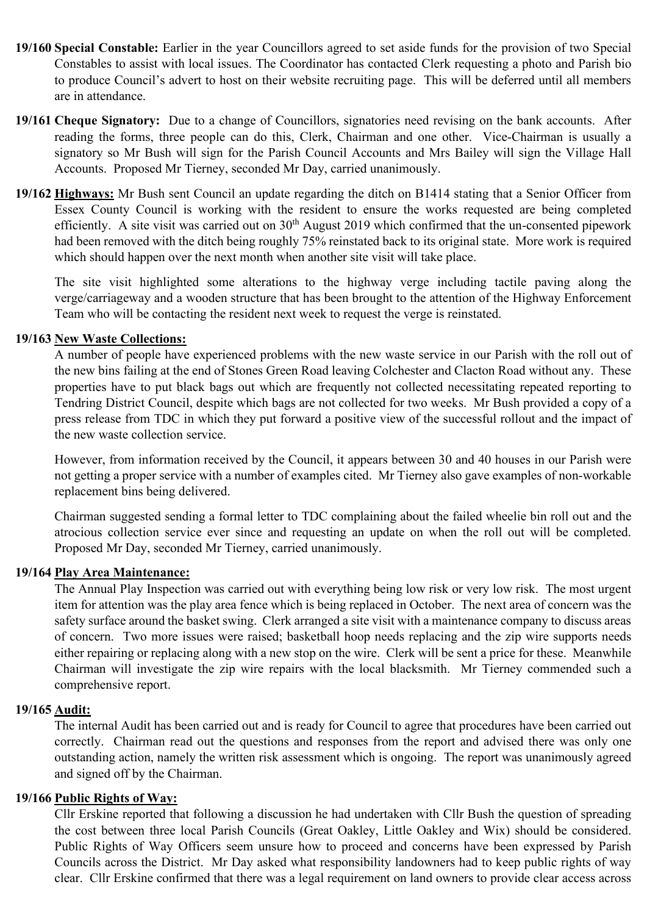- **19/160 Special Constable:** Earlier in the year Councillors agreed to set aside funds for the provision of two Special Constables to assist with local issues. The Coordinator has contacted Clerk requesting a photo and Parish bio to produce Council's advert to host on their website recruiting page. This will be deferred until all members are in attendance.
- **19/161 Cheque Signatory:** Due to a change of Councillors, signatories need revising on the bank accounts. After reading the forms, three people can do this, Clerk, Chairman and one other. Vice-Chairman is usually a signatory so Mr Bush will sign for the Parish Council Accounts and Mrs Bailey will sign the Village Hall Accounts. Proposed Mr Tierney, seconded Mr Day, carried unanimously.
- **19/162 Highways:** Mr Bush sent Council an update regarding the ditch on B1414 stating that a Senior Officer from Essex County Council is working with the resident to ensure the works requested are being completed efficiently. A site visit was carried out on  $30<sup>th</sup>$  August 2019 which confirmed that the un-consented pipework had been removed with the ditch being roughly 75% reinstated back to its original state. More work is required which should happen over the next month when another site visit will take place.

The site visit highlighted some alterations to the highway verge including tactile paving along the verge/carriageway and a wooden structure that has been brought to the attention of the Highway Enforcement Team who will be contacting the resident next week to request the verge is reinstated.

# **19/163 New Waste Collections:**

A number of people have experienced problems with the new waste service in our Parish with the roll out of the new bins failing at the end of Stones Green Road leaving Colchester and Clacton Road without any. These properties have to put black bags out which are frequently not collected necessitating repeated reporting to Tendring District Council, despite which bags are not collected for two weeks. Mr Bush provided a copy of a press release from TDC in which they put forward a positive view of the successful rollout and the impact of the new waste collection service.

However, from information received by the Council, it appears between 30 and 40 houses in our Parish were not getting a proper service with a number of examples cited. Mr Tierney also gave examples of non-workable replacement bins being delivered.

Chairman suggested sending a formal letter to TDC complaining about the failed wheelie bin roll out and the atrocious collection service ever since and requesting an update on when the roll out will be completed. Proposed Mr Day, seconded Mr Tierney, carried unanimously.

# **19/164 Play Area Maintenance:**

The Annual Play Inspection was carried out with everything being low risk or very low risk. The most urgent item for attention was the play area fence which is being replaced in October. The next area of concern was the safety surface around the basket swing. Clerk arranged a site visit with a maintenance company to discuss areas of concern. Two more issues were raised; basketball hoop needs replacing and the zip wire supports needs either repairing or replacing along with a new stop on the wire. Clerk will be sent a price for these. Meanwhile Chairman will investigate the zip wire repairs with the local blacksmith. Mr Tierney commended such a comprehensive report.

#### **19/165 Audit:**

The internal Audit has been carried out and is ready for Council to agree that procedures have been carried out correctly. Chairman read out the questions and responses from the report and advised there was only one outstanding action, namely the written risk assessment which is ongoing. The report was unanimously agreed and signed off by the Chairman.

# **19/166 Public Rights of Way:**

Cllr Erskine reported that following a discussion he had undertaken with Cllr Bush the question of spreading the cost between three local Parish Councils (Great Oakley, Little Oakley and Wix) should be considered. Public Rights of Way Officers seem unsure how to proceed and concerns have been expressed by Parish Councils across the District. Mr Day asked what responsibility landowners had to keep public rights of way clear. Cllr Erskine confirmed that there was a legal requirement on land owners to provide clear access across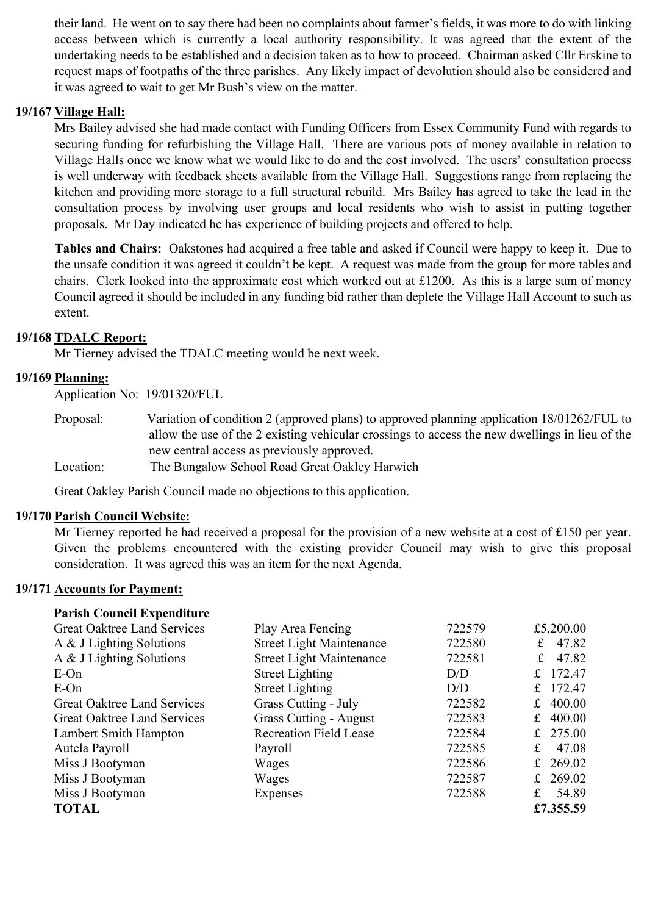their land. He went on to say there had been no complaints about farmer's fields, it was more to do with linking access between which is currently a local authority responsibility. It was agreed that the extent of the undertaking needs to be established and a decision taken as to how to proceed. Chairman asked Cllr Erskine to request maps of footpaths of the three parishes. Any likely impact of devolution should also be considered and it was agreed to wait to get Mr Bush's view on the matter.

# **19/167 Village Hall:**

Mrs Bailey advised she had made contact with Funding Officers from Essex Community Fund with regards to securing funding for refurbishing the Village Hall. There are various pots of money available in relation to Village Halls once we know what we would like to do and the cost involved. The users' consultation process is well underway with feedback sheets available from the Village Hall. Suggestions range from replacing the kitchen and providing more storage to a full structural rebuild. Mrs Bailey has agreed to take the lead in the consultation process by involving user groups and local residents who wish to assist in putting together proposals. Mr Day indicated he has experience of building projects and offered to help.

**Tables and Chairs:** Oakstones had acquired a free table and asked if Council were happy to keep it. Due to the unsafe condition it was agreed it couldn't be kept. A request was made from the group for more tables and chairs. Clerk looked into the approximate cost which worked out at £1200. As this is a large sum of money Council agreed it should be included in any funding bid rather than deplete the Village Hall Account to such as extent.

# **19/168 TDALC Report:**

Mr Tierney advised the TDALC meeting would be next week.

# **19/169 Planning:**

Application No: 19/01320/FUL

- Proposal: Variation of condition 2 (approved plans) to approved planning application 18/01262/FUL to allow the use of the 2 existing vehicular crossings to access the new dwellings in lieu of the new central access as previously approved.
- Location: The Bungalow School Road Great Oakley Harwich

Great Oakley Parish Council made no objections to this application.

# **19/170 Parish Council Website:**

Mr Tierney reported he had received a proposal for the provision of a new website at a cost of £150 per year. Given the problems encountered with the existing provider Council may wish to give this proposal consideration. It was agreed this was an item for the next Agenda.

# **19/171 Accounts for Payment:**

| <b>Parish Council Expenditure</b>  |                                 |        |             |            |
|------------------------------------|---------------------------------|--------|-------------|------------|
| <b>Great Oaktree Land Services</b> | Play Area Fencing               | 722579 |             | £5,200.00  |
| A & J Lighting Solutions           | <b>Street Light Maintenance</b> | 722580 | £           | 47.82      |
| A & J Lighting Solutions           | <b>Street Light Maintenance</b> | 722581 | $f_{\rm L}$ | 47.82      |
| $E$ -On                            | <b>Street Lighting</b>          | D/D    | $f_{\cdot}$ | 172.47     |
| $E$ -On                            | <b>Street Lighting</b>          | D/D    |             | 172.47     |
| <b>Great Oaktree Land Services</b> | Grass Cutting - July            | 722582 | $f_{\cdot}$ | 400.00     |
| <b>Great Oaktree Land Services</b> | <b>Grass Cutting - August</b>   | 722583 | £           | 400.00     |
| Lambert Smith Hampton              | <b>Recreation Field Lease</b>   | 722584 |             | £ $275.00$ |
| Autela Payroll                     | Payroll                         | 722585 | $f_{\cdot}$ | 47.08      |
| Miss J Bootyman                    | Wages                           | 722586 | $f_{\cdot}$ | 269.02     |
| Miss J Bootyman                    | Wages                           | 722587 |             | £ 269.02   |
| Miss J Bootyman                    | Expenses                        | 722588 | £           | 54.89      |
| <b>TOTAL</b>                       |                                 |        |             | £7,355.59  |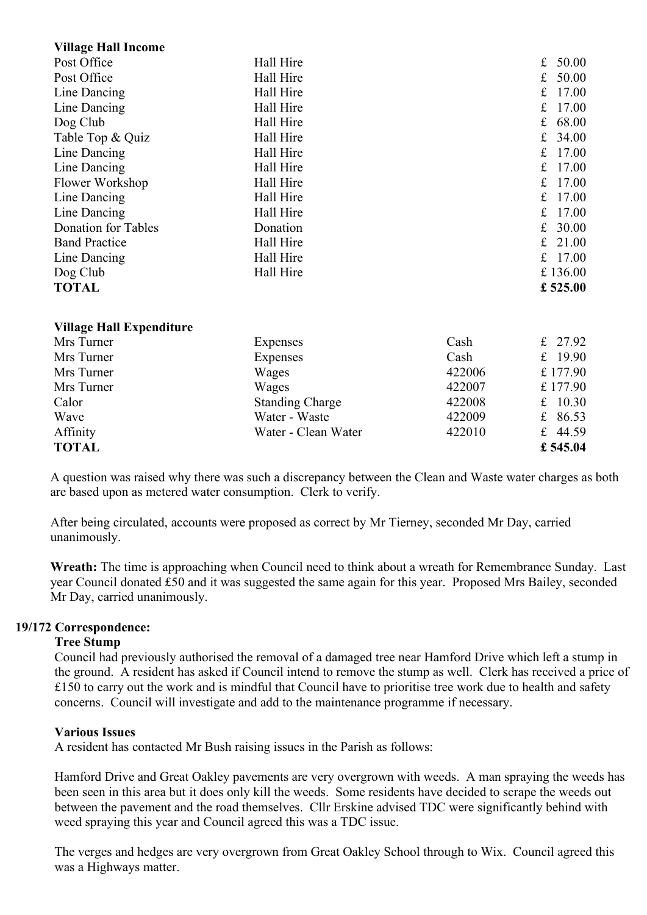| <b>Village Hall Income</b>      |                        |        |                      |
|---------------------------------|------------------------|--------|----------------------|
| Post Office                     | Hall Hire              |        | 50.00<br>$\mathbf f$ |
| Post Office                     | Hall Hire              |        | £<br>50.00           |
| Line Dancing                    | Hall Hire              |        | 17.00<br>£           |
| Line Dancing                    | Hall Hire              |        | $\mathbf f$<br>17.00 |
| Dog Club                        | Hall Hire              |        | 68.00<br>$\mathbf f$ |
| Table Top & Quiz                | Hall Hire              |        | £<br>34.00           |
| Line Dancing                    | Hall Hire              |        | £<br>17.00           |
| Line Dancing                    | Hall Hire              |        | 17.00<br>£           |
| Flower Workshop                 | Hall Hire              |        | 17.00<br>£           |
| Line Dancing                    | Hall Hire              |        | £<br>17.00           |
| Line Dancing                    | Hall Hire              |        | £<br>17.00           |
| Donation for Tables             | Donation               |        | £<br>30.00           |
| <b>Band Practice</b>            | Hall Hire              |        | $\mathbf f$<br>21.00 |
| Line Dancing                    | Hall Hire              |        | 17.00<br>f           |
| Dog Club                        | Hall Hire              |        | £136.00              |
| <b>TOTAL</b>                    |                        |        | £ 525.00             |
| <b>Village Hall Expenditure</b> |                        |        |                      |
| Mrs Turner                      | Expenses               | Cash   | 27.92<br>$f_{\rm c}$ |
| Mrs Turner                      | Expenses               | Cash   | 19.90<br>$\mathbf f$ |
| Mrs Turner                      | Wages                  | 422006 | £177.90              |
| Mrs Turner                      | Wages                  | 422007 | £177.90              |
| Calor                           | <b>Standing Charge</b> | 422008 | £ $10.30$            |
| Wave                            | Water - Waste          | 422009 | £<br>86.53           |
| Affinity                        | Water - Clean Water    | 422010 | £ 44.59              |
| <b>TOTAL</b>                    |                        |        | £545.04              |

A question was raised why there was such a discrepancy between the Clean and Waste water charges as both are based upon as metered water consumption. Clerk to verify.

After being circulated, accounts were proposed as correct by Mr Tierney, seconded Mr Day, carried unanimously.

**Wreath:** The time is approaching when Council need to think about a wreath for Remembrance Sunday. Last year Council donated £50 and it was suggested the same again for this year. Proposed Mrs Bailey, seconded Mr Day, carried unanimously.

# **19/172 Correspondence:**

# **Tree Stump**

Council had previously authorised the removal of a damaged tree near Hamford Drive which left a stump in the ground. A resident has asked if Council intend to remove the stump as well. Clerk has received a price of £150 to carry out the work and is mindful that Council have to prioritise tree work due to health and safety concerns. Council will investigate and add to the maintenance programme if necessary.

# **Various Issues**

A resident has contacted Mr Bush raising issues in the Parish as follows:

Hamford Drive and Great Oakley pavements are very overgrown with weeds. A man spraying the weeds has been seen in this area but it does only kill the weeds. Some residents have decided to scrape the weeds out between the pavement and the road themselves. Cllr Erskine advised TDC were significantly behind with weed spraying this year and Council agreed this was a TDC issue.

The verges and hedges are very overgrown from Great Oakley School through to Wix. Council agreed this was a Highways matter.